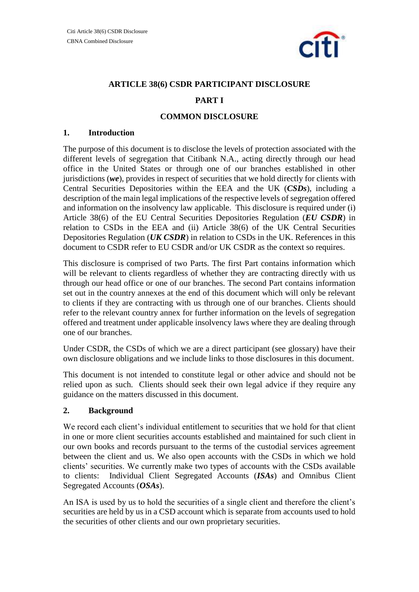

# **ARTICLE 38(6) CSDR PARTICIPANT DISCLOSURE**

# **PART I**

## **COMMON DISCLOSURE**

#### **1. Introduction**

The purpose of this document is to disclose the levels of protection associated with the different levels of segregation that Citibank N.A., acting directly through our head office in the United States or through one of our branches established in other jurisdictions (*we*), provides in respect of securities that we hold directly for clients with Central Securities Depositories within the EEA and the UK (*CSDs*), including a description of the main legal implications of the respective levels of segregation offered and information on the insolvency law applicable. This disclosure is required under (i) Article 38(6) of the EU Central Securities Depositories Regulation (*EU CSDR*) in relation to CSDs in the EEA and (ii) Article 38(6) of the UK Central Securities Depositories Regulation (*UK CSDR*) in relation to CSDs in the UK. References in this document to CSDR refer to EU CSDR and/or UK CSDR as the context so requires.

This disclosure is comprised of two Parts. The first Part contains information which will be relevant to clients regardless of whether they are contracting directly with us through our head office or one of our branches. The second Part contains information set out in the country annexes at the end of this document which will only be relevant to clients if they are contracting with us through one of our branches. Clients should refer to the relevant country annex for further information on the levels of segregation offered and treatment under applicable insolvency laws where they are dealing through one of our branches.

Under CSDR, the CSDs of which we are a direct participant (see glossary) have their own disclosure obligations and we include links to those disclosures in this document.

This document is not intended to constitute legal or other advice and should not be relied upon as such. Clients should seek their own legal advice if they require any guidance on the matters discussed in this document.

# **2. Background**

We record each client's individual entitlement to securities that we hold for that client in one or more client securities accounts established and maintained for such client in our own books and records pursuant to the terms of the custodial services agreement between the client and us. We also open accounts with the CSDs in which we hold clients' securities. We currently make two types of accounts with the CSDs available to clients: Individual Client Segregated Accounts (*ISAs*) and Omnibus Client Segregated Accounts (*OSAs*).

An ISA is used by us to hold the securities of a single client and therefore the client's securities are held by us in a CSD account which is separate from accounts used to hold the securities of other clients and our own proprietary securities.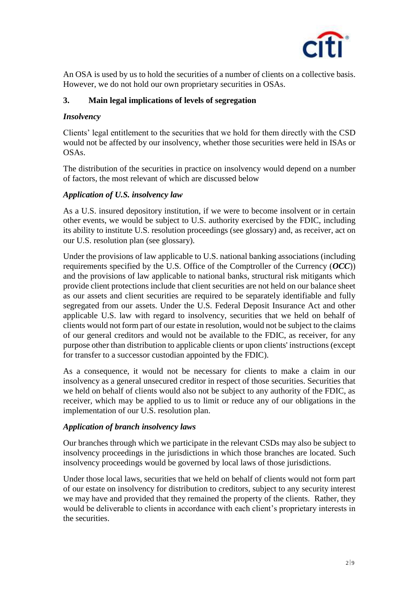

An OSA is used by us to hold the securities of a number of clients on a collective basis. However, we do not hold our own proprietary securities in OSAs.

# **3. Main legal implications of levels of segregation**

# *Insolvency*

Clients' legal entitlement to the securities that we hold for them directly with the CSD would not be affected by our insolvency, whether those securities were held in ISAs or OSAs.

The distribution of the securities in practice on insolvency would depend on a number of factors, the most relevant of which are discussed below

# *Application of U.S. insolvency law*

As a U.S. insured depository institution, if we were to become insolvent or in certain other events, we would be subject to U.S. authority exercised by the FDIC, including its ability to institute U.S. resolution proceedings (see glossary) and, as receiver, act on our U.S. resolution plan (see glossary).

Under the provisions of law applicable to U.S. national banking associations (including requirements specified by the U.S. Office of the Comptroller of the Currency (*OCC*)) and the provisions of law applicable to national banks, structural risk mitigants which provide client protections include that client securities are not held on our balance sheet as our assets and client securities are required to be separately identifiable and fully segregated from our assets. Under the U.S. Federal Deposit Insurance Act and other applicable U.S. law with regard to insolvency, securities that we held on behalf of clients would not form part of our estate in resolution, would not be subject to the claims of our general creditors and would not be available to the FDIC, as receiver, for any purpose other than distribution to applicable clients or upon clients' instructions (except for transfer to a successor custodian appointed by the FDIC).

As a consequence, it would not be necessary for clients to make a claim in our insolvency as a general unsecured creditor in respect of those securities. Securities that we held on behalf of clients would also not be subject to any authority of the FDIC, as receiver, which may be applied to us to limit or reduce any of our obligations in the implementation of our U.S. resolution plan.

# *Application of branch insolvency laws*

Our branches through which we participate in the relevant CSDs may also be subject to insolvency proceedings in the jurisdictions in which those branches are located. Such insolvency proceedings would be governed by local laws of those jurisdictions.

Under those local laws, securities that we held on behalf of clients would not form part of our estate on insolvency for distribution to creditors, subject to any security interest we may have and provided that they remained the property of the clients. Rather, they would be deliverable to clients in accordance with each client's proprietary interests in the securities.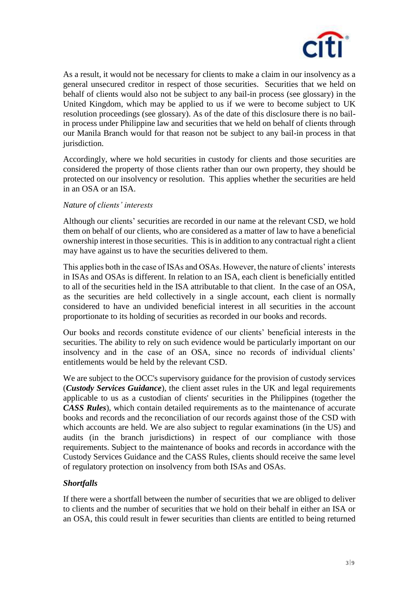

As a result, it would not be necessary for clients to make a claim in our insolvency as a general unsecured creditor in respect of those securities. Securities that we held on behalf of clients would also not be subject to any bail-in process (see glossary) in the United Kingdom, which may be applied to us if we were to become subject to UK resolution proceedings (see glossary). As of the date of this disclosure there is no bailin process under Philippine law and securities that we held on behalf of clients through our Manila Branch would for that reason not be subject to any bail-in process in that jurisdiction.

Accordingly, where we hold securities in custody for clients and those securities are considered the property of those clients rather than our own property, they should be protected on our insolvency or resolution. This applies whether the securities are held in an OSA or an ISA.

## *Nature of clients' interests*

Although our clients' securities are recorded in our name at the relevant CSD, we hold them on behalf of our clients, who are considered as a matter of law to have a beneficial ownership interest in those securities. This is in addition to any contractual right a client may have against us to have the securities delivered to them.

This applies both in the case of ISAs and OSAs. However, the nature of clients' interests in ISAs and OSAs is different. In relation to an ISA, each client is beneficially entitled to all of the securities held in the ISA attributable to that client. In the case of an OSA, as the securities are held collectively in a single account, each client is normally considered to have an undivided beneficial interest in all securities in the account proportionate to its holding of securities as recorded in our books and records.

Our books and records constitute evidence of our clients' beneficial interests in the securities. The ability to rely on such evidence would be particularly important on our insolvency and in the case of an OSA, since no records of individual clients' entitlements would be held by the relevant CSD.

We are subject to the OCC's supervisory guidance for the provision of custody services (*Custody Services Guidance*), the client asset rules in the UK and legal requirements applicable to us as a custodian of clients' securities in the Philippines (together the *CASS Rules*), which contain detailed requirements as to the maintenance of accurate books and records and the reconciliation of our records against those of the CSD with which accounts are held. We are also subject to regular examinations (in the US) and audits (in the branch jurisdictions) in respect of our compliance with those requirements. Subject to the maintenance of books and records in accordance with the Custody Services Guidance and the CASS Rules, clients should receive the same level of regulatory protection on insolvency from both ISAs and OSAs.

# *Shortfalls*

If there were a shortfall between the number of securities that we are obliged to deliver to clients and the number of securities that we hold on their behalf in either an ISA or an OSA, this could result in fewer securities than clients are entitled to being returned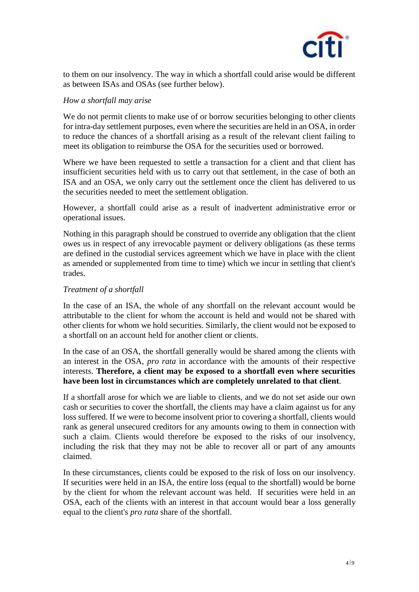

to them on our insolvency. The way in which a shortfall could arise would be different as between ISAs and OSAs (see further below).

#### *How a shortfall may arise*

We do not permit clients to make use of or borrow securities belonging to other clients for intra-day settlement purposes, even where the securities are held in an OSA, in order to reduce the chances of a shortfall arising as a result of the relevant client failing to meet its obligation to reimburse the OSA for the securities used or borrowed.

Where we have been requested to settle a transaction for a client and that client has insufficient securities held with us to carry out that settlement, in the case of both an ISA and an OSA, we only carry out the settlement once the client has delivered to us the securities needed to meet the settlement obligation.

However, a shortfall could arise as a result of inadvertent administrative error or operational issues.

Nothing in this paragraph should be construed to override any obligation that the client owes us in respect of any irrevocable payment or delivery obligations (as these terms are defined in the custodial services agreement which we have in place with the client as amended or supplemented from time to time) which we incur in settling that client's trades.

## *Treatment of a shortfall*

In the case of an ISA, the whole of any shortfall on the relevant account would be attributable to the client for whom the account is held and would not be shared with other clients for whom we hold securities. Similarly, the client would not be exposed to a shortfall on an account held for another client or clients.

In the case of an OSA, the shortfall generally would be shared among the clients with an interest in the OSA, *pro rata* in accordance with the amounts of their respective interests. **Therefore, a client may be exposed to a shortfall even where securities have been lost in circumstances which are completely unrelated to that client**.

If a shortfall arose for which we are liable to clients, and we do not set aside our own cash or securities to cover the shortfall, the clients may have a claim against us for any loss suffered. If we were to become insolvent prior to covering a shortfall, clients would rank as general unsecured creditors for any amounts owing to them in connection with such a claim. Clients would therefore be exposed to the risks of our insolvency, including the risk that they may not be able to recover all or part of any amounts claimed.

In these circumstances, clients could be exposed to the risk of loss on our insolvency. If securities were held in an ISA, the entire loss (equal to the shortfall) would be borne by the client for whom the relevant account was held. If securities were held in an OSA, each of the clients with an interest in that account would bear a loss generally equal to the client's *pro rata* share of the shortfall.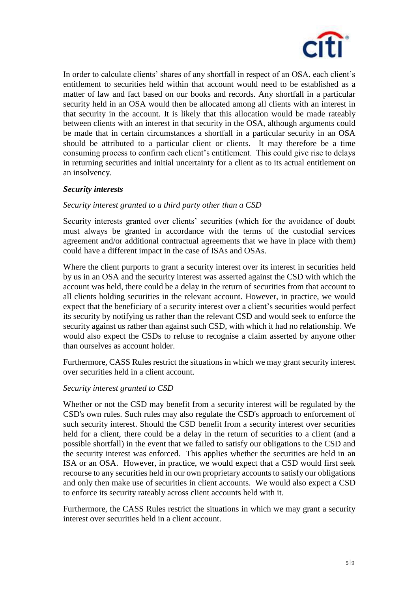

In order to calculate clients' shares of any shortfall in respect of an OSA, each client's entitlement to securities held within that account would need to be established as a matter of law and fact based on our books and records. Any shortfall in a particular security held in an OSA would then be allocated among all clients with an interest in that security in the account. It is likely that this allocation would be made rateably between clients with an interest in that security in the OSA, although arguments could be made that in certain circumstances a shortfall in a particular security in an OSA should be attributed to a particular client or clients. It may therefore be a time consuming process to confirm each client's entitlement. This could give rise to delays in returning securities and initial uncertainty for a client as to its actual entitlement on an insolvency.

## *Security interests*

## *Security interest granted to a third party other than a CSD*

Security interests granted over clients' securities (which for the avoidance of doubt must always be granted in accordance with the terms of the custodial services agreement and/or additional contractual agreements that we have in place with them) could have a different impact in the case of ISAs and OSAs.

Where the client purports to grant a security interest over its interest in securities held by us in an OSA and the security interest was asserted against the CSD with which the account was held, there could be a delay in the return of securities from that account to all clients holding securities in the relevant account. However, in practice, we would expect that the beneficiary of a security interest over a client's securities would perfect its security by notifying us rather than the relevant CSD and would seek to enforce the security against us rather than against such CSD, with which it had no relationship. We would also expect the CSDs to refuse to recognise a claim asserted by anyone other than ourselves as account holder.

Furthermore, CASS Rules restrict the situations in which we may grant security interest over securities held in a client account.

#### *Security interest granted to CSD*

Whether or not the CSD may benefit from a security interest will be regulated by the CSD's own rules. Such rules may also regulate the CSD's approach to enforcement of such security interest. Should the CSD benefit from a security interest over securities held for a client, there could be a delay in the return of securities to a client (and a possible shortfall) in the event that we failed to satisfy our obligations to the CSD and the security interest was enforced. This applies whether the securities are held in an ISA or an OSA. However, in practice, we would expect that a CSD would first seek recourse to any securities held in our own proprietary accounts to satisfy our obligations and only then make use of securities in client accounts. We would also expect a CSD to enforce its security rateably across client accounts held with it.

Furthermore, the CASS Rules restrict the situations in which we may grant a security interest over securities held in a client account.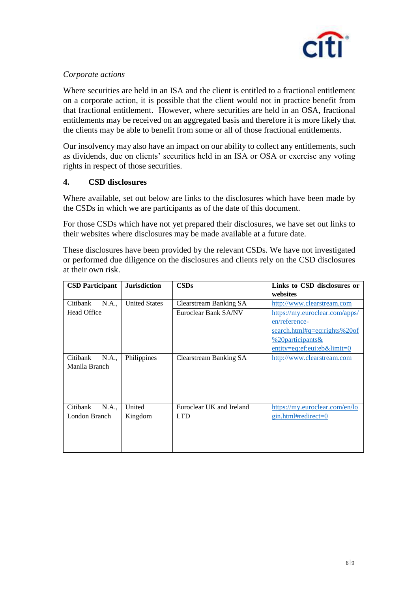

# *Corporate actions*

Where securities are held in an ISA and the client is entitled to a fractional entitlement on a corporate action, it is possible that the client would not in practice benefit from that fractional entitlement. However, where securities are held in an OSA, fractional entitlements may be received on an aggregated basis and therefore it is more likely that the clients may be able to benefit from some or all of those fractional entitlements.

Our insolvency may also have an impact on our ability to collect any entitlements, such as dividends, due on clients' securities held in an ISA or OSA or exercise any voting rights in respect of those securities.

## **4. CSD disclosures**

Where available, set out below are links to the disclosures which have been made by the CSDs in which we are participants as of the date of this document.

For those CSDs which have not yet prepared their disclosures, we have set out links to their websites where disclosures may be made available at a future date.

These disclosures have been provided by the relevant CSDs. We have not investigated or performed due diligence on the disclosures and clients rely on the CSD disclosures at their own risk.

| <b>CSD Participant</b> | <b>Jurisdiction</b>  | CSDs                          | Links to CSD disclosures or<br>websites    |
|------------------------|----------------------|-------------------------------|--------------------------------------------|
| Citibank<br>N.A.,      | <b>United States</b> | Clearstream Banking SA        | http://www.clearstream.com                 |
| <b>Head Office</b>     |                      | Euroclear Bank SA/NV          | https://my.euroclear.com/apps/             |
|                        |                      |                               | en/reference-                              |
|                        |                      |                               | search.html#q=eq:rights%20of               |
|                        |                      |                               | %20 participants $\&$                      |
|                        |                      |                               | $entity = eq:ef:eu:eb&limit = 0$           |
| Citibank<br>N.A.,      | Philippines          | <b>Clearstream Banking SA</b> | http://www.clearstream.com                 |
| Manila Branch          |                      |                               |                                            |
|                        |                      |                               |                                            |
|                        |                      |                               |                                            |
|                        |                      |                               |                                            |
| Citibank<br>N.A.,      | United               | Euroclear UK and Ireland      | https://my.euroclear.com/en/lo             |
| London Branch          | Kingdom              | <b>LTD</b>                    | $\frac{\text{gin.html}}{\text{tredirect}}$ |
|                        |                      |                               |                                            |
|                        |                      |                               |                                            |
|                        |                      |                               |                                            |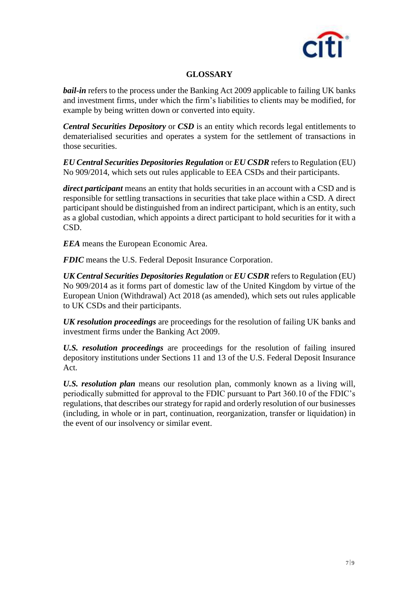

# **GLOSSARY**

*bail-in* refers to the process under the Banking Act 2009 applicable to failing UK banks and investment firms, under which the firm's liabilities to clients may be modified, for example by being written down or converted into equity.

*Central Securities Depository* or *CSD* is an entity which records legal entitlements to dematerialised securities and operates a system for the settlement of transactions in those securities.

*EU Central Securities Depositories Regulation* or *EU CSDR* refers to Regulation (EU) No 909/2014, which sets out rules applicable to EEA CSDs and their participants.

*direct participant* means an entity that holds securities in an account with a CSD and is responsible for settling transactions in securities that take place within a CSD. A direct participant should be distinguished from an indirect participant, which is an entity, such as a global custodian, which appoints a direct participant to hold securities for it with a CSD.

*EEA* means the European Economic Area.

*FDIC* means the U.S. Federal Deposit Insurance Corporation.

*UK Central Securities Depositories Regulation* or *EU CSDR* refers to Regulation (EU) No 909/2014 as it forms part of domestic law of the United Kingdom by virtue of the European Union (Withdrawal) Act 2018 (as amended), which sets out rules applicable to UK CSDs and their participants.

*UK resolution proceedings* are proceedings for the resolution of failing UK banks and investment firms under the Banking Act 2009.

*U.S. resolution proceedings* are proceedings for the resolution of failing insured depository institutions under Sections 11 and 13 of the U.S. Federal Deposit Insurance Act.

*U.S. resolution plan* means our resolution plan, commonly known as a living will, periodically submitted for approval to the FDIC pursuant to Part 360.10 of the FDIC's regulations, that describes our strategy for rapid and orderly resolution of our businesses (including, in whole or in part, continuation, reorganization, transfer or liquidation) in the event of our insolvency or similar event.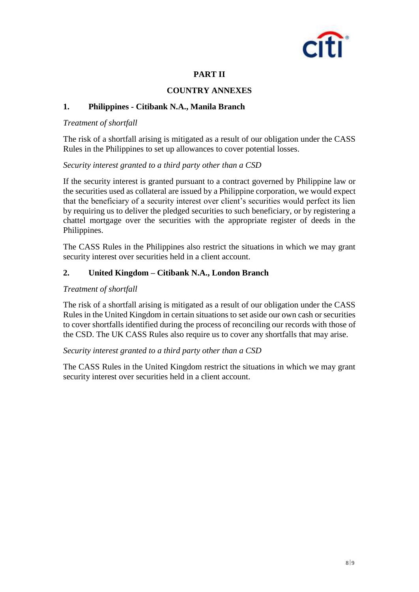

# **PART II**

## **COUNTRY ANNEXES**

## **1. Philippines - Citibank N.A., Manila Branch**

#### *Treatment of shortfall*

The risk of a shortfall arising is mitigated as a result of our obligation under the CASS Rules in the Philippines to set up allowances to cover potential losses.

#### *Security interest granted to a third party other than a CSD*

If the security interest is granted pursuant to a contract governed by Philippine law or the securities used as collateral are issued by a Philippine corporation, we would expect that the beneficiary of a security interest over client's securities would perfect its lien by requiring us to deliver the pledged securities to such beneficiary, or by registering a chattel mortgage over the securities with the appropriate register of deeds in the Philippines.

The CASS Rules in the Philippines also restrict the situations in which we may grant security interest over securities held in a client account.

# **2. United Kingdom – Citibank N.A., London Branch**

#### *Treatment of shortfall*

The risk of a shortfall arising is mitigated as a result of our obligation under the CASS Rules in the United Kingdom in certain situations to set aside our own cash or securities to cover shortfalls identified during the process of reconciling our records with those of the CSD. The UK CASS Rules also require us to cover any shortfalls that may arise.

#### *Security interest granted to a third party other than a CSD*

The CASS Rules in the United Kingdom restrict the situations in which we may grant security interest over securities held in a client account.